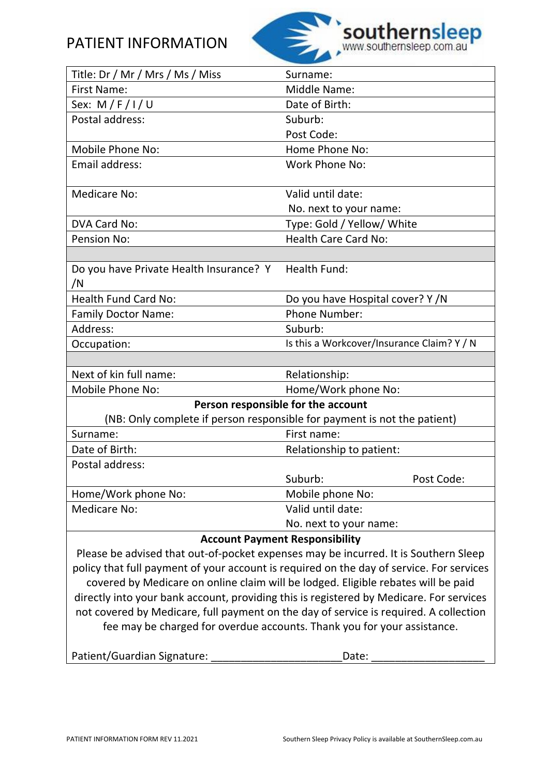# PATIENT INFORMATION



| Title: Dr / Mr / Mrs / Ms / Miss                                                                               | Surname:                                   |  |  |
|----------------------------------------------------------------------------------------------------------------|--------------------------------------------|--|--|
| <b>First Name:</b>                                                                                             | <b>Middle Name:</b>                        |  |  |
| Sex: $M/F/I/U$                                                                                                 | Date of Birth:                             |  |  |
| Postal address:                                                                                                | Suburb:                                    |  |  |
|                                                                                                                | Post Code:                                 |  |  |
| Mobile Phone No:                                                                                               | Home Phone No:                             |  |  |
| Email address:                                                                                                 | <b>Work Phone No:</b>                      |  |  |
|                                                                                                                |                                            |  |  |
| <b>Medicare No:</b>                                                                                            | Valid until date:                          |  |  |
|                                                                                                                | No. next to your name:                     |  |  |
| DVA Card No:                                                                                                   | Type: Gold / Yellow/ White                 |  |  |
| <b>Pension No:</b>                                                                                             | <b>Health Care Card No:</b>                |  |  |
|                                                                                                                |                                            |  |  |
| Do you have Private Health Insurance? Y<br>/N                                                                  | Health Fund:                               |  |  |
| <b>Health Fund Card No:</b>                                                                                    | Do you have Hospital cover? Y/N            |  |  |
|                                                                                                                |                                            |  |  |
| <b>Family Doctor Name:</b><br>Address:                                                                         | <b>Phone Number:</b><br>Suburb:            |  |  |
| Occupation:                                                                                                    | Is this a Workcover/Insurance Claim? Y / N |  |  |
|                                                                                                                |                                            |  |  |
| Next of kin full name:                                                                                         | Relationship:                              |  |  |
| Mobile Phone No:                                                                                               | Home/Work phone No:                        |  |  |
|                                                                                                                |                                            |  |  |
| Person responsible for the account<br>(NB: Only complete if person responsible for payment is not the patient) |                                            |  |  |
| Surname:                                                                                                       | First name:                                |  |  |
| Date of Birth:                                                                                                 | Relationship to patient:                   |  |  |
| Postal address:                                                                                                |                                            |  |  |
|                                                                                                                | Suburb:<br>Post Code:                      |  |  |
| Home/Work phone No:                                                                                            | Mobile phone No:                           |  |  |
| <b>Medicare No:</b>                                                                                            | Valid until date:                          |  |  |
|                                                                                                                | No. next to your name:                     |  |  |
| <b>Account Payment Responsibility</b>                                                                          |                                            |  |  |
| Please be advised that out-of-pocket expenses may be incurred. It is Southern Sleep                            |                                            |  |  |
| policy that full payment of your account is required on the day of service. For services                       |                                            |  |  |
| covered by Medicare on online claim will be lodged. Eligible rebates will be paid                              |                                            |  |  |
| directly into your bank account, providing this is registered by Medicare. For services                        |                                            |  |  |
| not covered by Medicare, full payment on the day of service is required. A collection                          |                                            |  |  |
| fee may be charged for overdue accounts. Thank you for your assistance.                                        |                                            |  |  |

Patient/Guardian Signature: \_\_\_\_\_\_\_\_\_\_\_\_\_\_\_\_\_\_\_\_\_\_\_\_\_\_\_\_\_\_Date: